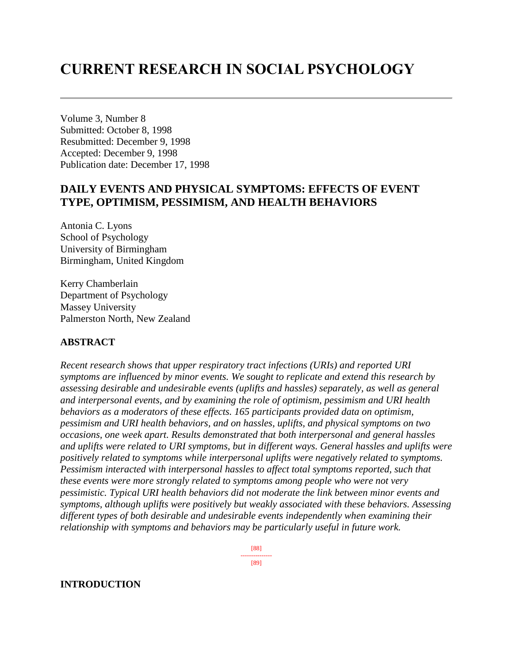# **CURRENT RESEARCH IN SOCIAL PSYCHOLOGY**

Volume 3, Number 8 Submitted: October 8, 1998 Resubmitted: December 9, 1998 Accepted: December 9, 1998 Publication date: December 17, 1998

# **DAILY EVENTS AND PHYSICAL SYMPTOMS: EFFECTS OF EVENT TYPE, OPTIMISM, PESSIMISM, AND HEALTH BEHAVIORS**

Antonia C. Lyons School of Psychology University of Birmingham Birmingham, United Kingdom

Kerry Chamberlain Department of Psychology Massey University Palmerston North, New Zealand

### **ABSTRACT**

*Recent research shows that upper respiratory tract infections (URIs) and reported URI symptoms are influenced by minor events. We sought to replicate and extend this research by assessing desirable and undesirable events (uplifts and hassles) separately, as well as general and interpersonal events, and by examining the role of optimism, pessimism and URI health behaviors as a moderators of these effects. 165 participants provided data on optimism, pessimism and URI health behaviors, and on hassles, uplifts, and physical symptoms on two occasions, one week apart. Results demonstrated that both interpersonal and general hassles and uplifts were related to URI symptoms, but in different ways. General hassles and uplifts were positively related to symptoms while interpersonal uplifts were negatively related to symptoms. Pessimism interacted with interpersonal hassles to affect total symptoms reported, such that these events were more strongly related to symptoms among people who were not very pessimistic. Typical URI health behaviors did not moderate the link between minor events and symptoms, although uplifts were positively but weakly associated with these behaviors. Assessing different types of both desirable and undesirable events independently when examining their relationship with symptoms and behaviors may be particularly useful in future work.*

> [88] ---------------

[89]

#### **INTRODUCTION**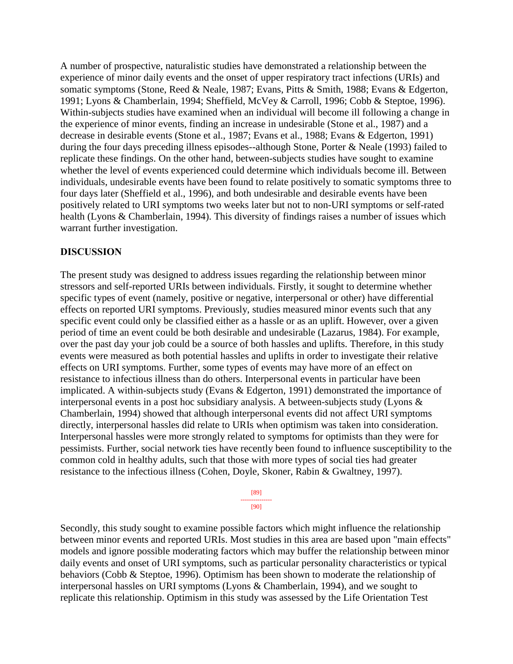A number of prospective, naturalistic studies have demonstrated a relationship between the experience of minor daily events and the onset of upper respiratory tract infections (URIs) and somatic symptoms (Stone, Reed & Neale, 1987; Evans, Pitts & Smith, 1988; Evans & Edgerton, 1991; Lyons & Chamberlain, 1994; Sheffield, McVey & Carroll, 1996; Cobb & Steptoe, 1996). Within-subjects studies have examined when an individual will become ill following a change in the experience of minor events, finding an increase in undesirable (Stone et al., 1987) and a decrease in desirable events (Stone et al., 1987; Evans et al., 1988; Evans & Edgerton, 1991) during the four days preceding illness episodes--although Stone, Porter & Neale (1993) failed to replicate these findings. On the other hand, between-subjects studies have sought to examine whether the level of events experienced could determine which individuals become ill. Between individuals, undesirable events have been found to relate positively to somatic symptoms three to four days later (Sheffield et al., 1996), and both undesirable and desirable events have been positively related to URI symptoms two weeks later but not to non-URI symptoms or self-rated health (Lyons & Chamberlain, 1994). This diversity of findings raises a number of issues which warrant further investigation.

#### **DISCUSSION**

The present study was designed to address issues regarding the relationship between minor stressors and self-reported URIs between individuals. Firstly, it sought to determine whether specific types of event (namely, positive or negative, interpersonal or other) have differential effects on reported URI symptoms. Previously, studies measured minor events such that any specific event could only be classified either as a hassle or as an uplift. However, over a given period of time an event could be both desirable and undesirable (Lazarus, 1984). For example, over the past day your job could be a source of both hassles and uplifts. Therefore, in this study events were measured as both potential hassles and uplifts in order to investigate their relative effects on URI symptoms. Further, some types of events may have more of an effect on resistance to infectious illness than do others. Interpersonal events in particular have been implicated. A within-subjects study (Evans & Edgerton, 1991) demonstrated the importance of interpersonal events in a post hoc subsidiary analysis. A between-subjects study (Lyons & Chamberlain, 1994) showed that although interpersonal events did not affect URI symptoms directly, interpersonal hassles did relate to URIs when optimism was taken into consideration. Interpersonal hassles were more strongly related to symptoms for optimists than they were for pessimists. Further, social network ties have recently been found to influence susceptibility to the common cold in healthy adults, such that those with more types of social ties had greater resistance to the infectious illness (Cohen, Doyle, Skoner, Rabin & Gwaltney, 1997).

> [89] --------------- [90]

Secondly, this study sought to examine possible factors which might influence the relationship between minor events and reported URIs. Most studies in this area are based upon "main effects" models and ignore possible moderating factors which may buffer the relationship between minor daily events and onset of URI symptoms, such as particular personality characteristics or typical behaviors (Cobb & Steptoe, 1996). Optimism has been shown to moderate the relationship of interpersonal hassles on URI symptoms (Lyons & Chamberlain, 1994), and we sought to replicate this relationship. Optimism in this study was assessed by the Life Orientation Test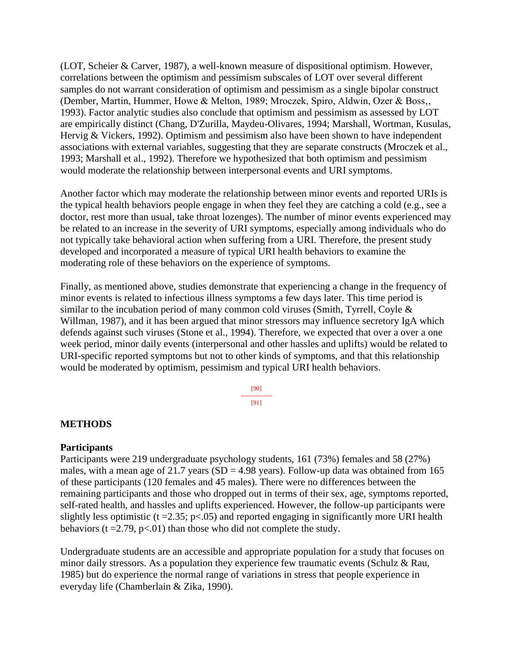(LOT, Scheier & Carver, 1987), a well-known measure of dispositional optimism. However, correlations between the optimism and pessimism subscales of LOT over several different samples do not warrant consideration of optimism and pessimism as a single bipolar construct (Dember, Martin, Hummer, Howe & Melton, 1989; Mroczek, Spiro, Aldwin, Ozer & Boss,, 1993). Factor analytic studies also conclude that optimism and pessimism as assessed by LOT are empirically distinct (Chang, D'Zurilla, Maydeu-Olivares, 1994; Marshall, Wortman, Kusulas, Hervig & Vickers, 1992). Optimism and pessimism also have been shown to have independent associations with external variables, suggesting that they are separate constructs (Mroczek et al., 1993; Marshall et al., 1992). Therefore we hypothesized that both optimism and pessimism would moderate the relationship between interpersonal events and URI symptoms.

Another factor which may moderate the relationship between minor events and reported URIs is the typical health behaviors people engage in when they feel they are catching a cold (e.g., see a doctor, rest more than usual, take throat lozenges). The number of minor events experienced may be related to an increase in the severity of URI symptoms, especially among individuals who do not typically take behavioral action when suffering from a URI. Therefore, the present study developed and incorporated a measure of typical URI health behaviors to examine the moderating role of these behaviors on the experience of symptoms.

Finally, as mentioned above, studies demonstrate that experiencing a change in the frequency of minor events is related to infectious illness symptoms a few days later. This time period is similar to the incubation period of many common cold viruses (Smith, Tyrrell, Coyle & Willman, 1987), and it has been argued that minor stressors may influence secretory IgA which defends against such viruses (Stone et al., 1994). Therefore, we expected that over a over a one week period, minor daily events (interpersonal and other hassles and uplifts) would be related to URI-specific reported symptoms but not to other kinds of symptoms, and that this relationship would be moderated by optimism, pessimism and typical URI health behaviors.

> [90] --------------- [91]

#### **METHODS**

#### **Participants**

Participants were 219 undergraduate psychology students, 161 (73%) females and 58 (27%) males, with a mean age of 21.7 years (SD = 4.98 years). Follow-up data was obtained from 165 of these participants (120 females and 45 males). There were no differences between the remaining participants and those who dropped out in terms of their sex, age, symptoms reported, self-rated health, and hassles and uplifts experienced. However, the follow-up participants were slightly less optimistic ( $t = 2.35$ ;  $p < .05$ ) and reported engaging in significantly more URI health behaviors ( $t = 2.79$ ,  $p < 01$ ) than those who did not complete the study.

Undergraduate students are an accessible and appropriate population for a study that focuses on minor daily stressors. As a population they experience few traumatic events (Schulz & Rau, 1985) but do experience the normal range of variations in stress that people experience in everyday life (Chamberlain & Zika, 1990).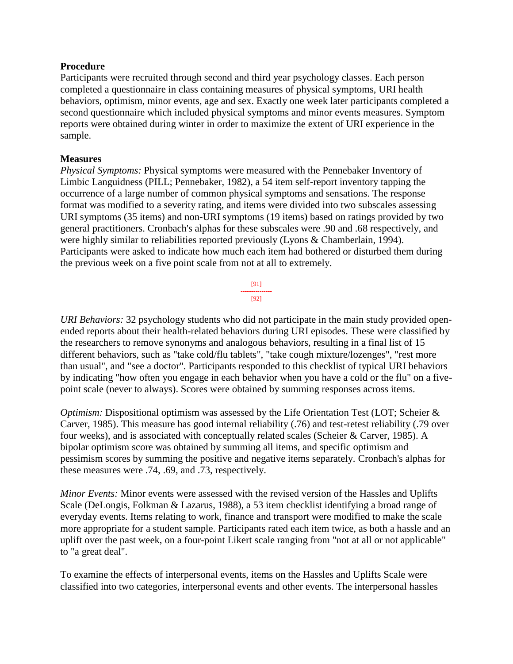#### **Procedure**

Participants were recruited through second and third year psychology classes. Each person completed a questionnaire in class containing measures of physical symptoms, URI health behaviors, optimism, minor events, age and sex. Exactly one week later participants completed a second questionnaire which included physical symptoms and minor events measures. Symptom reports were obtained during winter in order to maximize the extent of URI experience in the sample.

#### **Measures**

*Physical Symptoms:* Physical symptoms were measured with the Pennebaker Inventory of Limbic Languidness (PILL; Pennebaker, 1982), a 54 item self-report inventory tapping the occurrence of a large number of common physical symptoms and sensations. The response format was modified to a severity rating, and items were divided into two subscales assessing URI symptoms (35 items) and non-URI symptoms (19 items) based on ratings provided by two general practitioners. Cronbach's alphas for these subscales were .90 and .68 respectively, and were highly similar to reliabilities reported previously (Lyons & Chamberlain, 1994). Participants were asked to indicate how much each item had bothered or disturbed them during the previous week on a five point scale from not at all to extremely.



*URI Behaviors:* 32 psychology students who did not participate in the main study provided openended reports about their health-related behaviors during URI episodes. These were classified by the researchers to remove synonyms and analogous behaviors, resulting in a final list of 15 different behaviors, such as "take cold/flu tablets", "take cough mixture/lozenges", "rest more than usual", and "see a doctor". Participants responded to this checklist of typical URI behaviors by indicating "how often you engage in each behavior when you have a cold or the flu" on a fivepoint scale (never to always). Scores were obtained by summing responses across items.

*Optimism:* Dispositional optimism was assessed by the Life Orientation Test (LOT; Scheier & Carver, 1985). This measure has good internal reliability (.76) and test-retest reliability (.79 over four weeks), and is associated with conceptually related scales (Scheier & Carver, 1985). A bipolar optimism score was obtained by summing all items, and specific optimism and pessimism scores by summing the positive and negative items separately. Cronbach's alphas for these measures were .74, .69, and .73, respectively.

*Minor Events:* Minor events were assessed with the revised version of the Hassles and Uplifts Scale (DeLongis, Folkman & Lazarus, 1988), a 53 item checklist identifying a broad range of everyday events. Items relating to work, finance and transport were modified to make the scale more appropriate for a student sample. Participants rated each item twice, as both a hassle and an uplift over the past week, on a four-point Likert scale ranging from "not at all or not applicable" to "a great deal".

To examine the effects of interpersonal events, items on the Hassles and Uplifts Scale were classified into two categories, interpersonal events and other events. The interpersonal hassles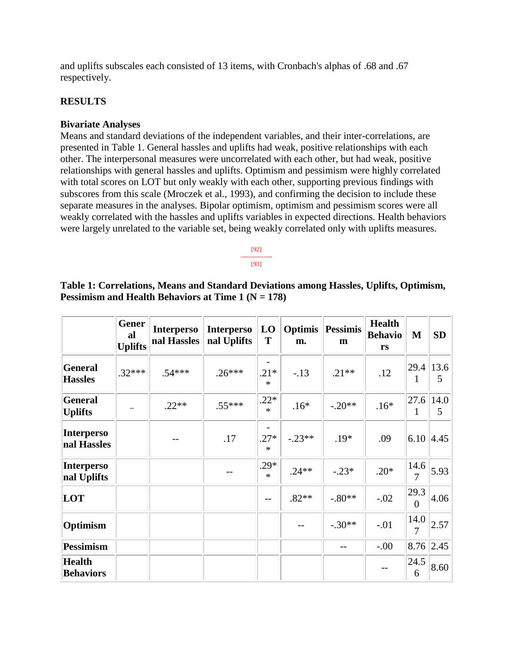and uplifts subscales each consisted of 13 items, with Cronbach's alphas of .68 and .67 respectively.

#### **RESULTS**

#### **Bivariate Analyses**

Means and standard deviations of the independent variables, and their inter-correlations, are presented in Table 1. General hassles and uplifts had weak, positive relationships with each other. The interpersonal measures were uncorrelated with each other, but had weak, positive relationships with general hassles and uplifts. Optimism and pessimism were highly correlated with total scores on LOT but only weakly with each other, supporting previous findings with subscores from this scale (Mroczek et al., 1993), and confirming the decision to include these separate measures in the analyses. Bipolar optimism, optimism and pessimism scores were all weakly correlated with the hassles and uplifts variables in expected directions. Health behaviors were largely unrelated to the variable set, being weakly correlated only with uplifts measures.



## **Table 1: Correlations, Means and Standard Deviations among Hassles, Uplifts, Optimism, Pessimism and Health Behaviors at Time 1 (N = 178)**

|                                   | <b>Gener</b><br>al<br><b>Uplifts</b> | <b>Interperso</b><br>nal Hassles | <b>Interperso</b><br>nal Uplifts | LO<br>T          | Optimis<br>m. | <b>Pessimis</b><br>m | <b>Health</b><br><b>Behavio</b><br>rs | M                      | SD        |
|-----------------------------------|--------------------------------------|----------------------------------|----------------------------------|------------------|---------------|----------------------|---------------------------------------|------------------------|-----------|
| <b>General</b><br><b>Hassles</b>  | $.32***$                             | $.54***$                         | $.26***$                         | $.21*$<br>$\ast$ | $-.13$        | $.21**$              | .12                                   | 29.4<br>1              | 13.6<br>5 |
| <b>General</b><br><b>Uplifts</b>  |                                      | $.22**$                          | $.55***$                         | $.22*$<br>$\ast$ | $.16*$        | $-.20**$             | $.16*$                                | 27.6<br>1              | 14.0<br>5 |
| <b>Interperso</b><br>nal Hassles  |                                      |                                  | .17                              | $.27*$<br>$\ast$ | $-.23**$      | $.19*$               | .09                                   | 6.10                   | 4.45      |
| <b>Interperso</b><br>nal Uplifts  |                                      |                                  | --                               | $.29*$<br>$\ast$ | $.24**$       | $-.23*$              | $.20*$                                | 14.6<br>$\overline{7}$ | 5.93      |
| LOT                               |                                      |                                  |                                  | $-$              | $.82**$       | $-.80**$             | $-.02$                                | 29.3<br>$\theta$       | 4.06      |
| Optimism                          |                                      |                                  |                                  |                  |               | $-.30**$             | $-.01$                                | 14.0<br>$\overline{7}$ | 2.57      |
| <b>Pessimism</b>                  |                                      |                                  |                                  |                  |               |                      | $-0.00$                               | 8.76                   | 2.45      |
| <b>Health</b><br><b>Behaviors</b> |                                      |                                  |                                  |                  |               |                      |                                       | 24.5<br>6              | 8.60      |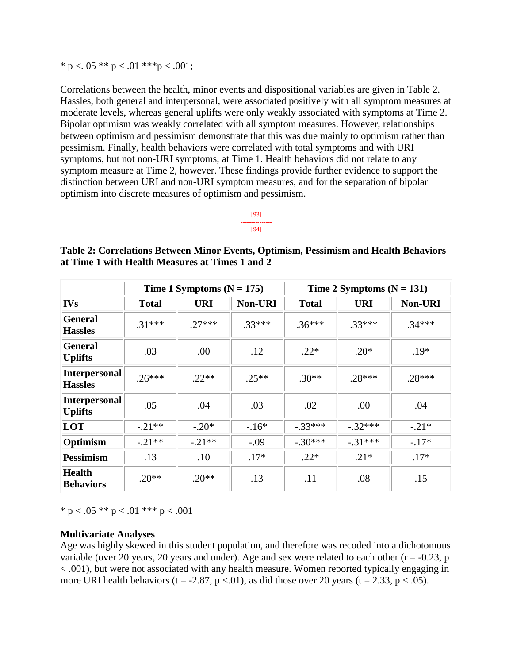\* p <. 05 \*\* p < .01 \*\*\*p < .001;

Correlations between the health, minor events and dispositional variables are given in Table 2. Hassles, both general and interpersonal, were associated positively with all symptom measures at moderate levels, whereas general uplifts were only weakly associated with symptoms at Time 2. Bipolar optimism was weakly correlated with all symptom measures. However, relationships between optimism and pessimism demonstrate that this was due mainly to optimism rather than pessimism. Finally, health behaviors were correlated with total symptoms and with URI symptoms, but not non-URI symptoms, at Time 1. Health behaviors did not relate to any symptom measure at Time 2, however. These findings provide further evidence to support the distinction between URI and non-URI symptom measures, and for the separation of bipolar optimism into discrete measures of optimism and pessimism.

**Table 2: Correlations Between Minor Events, Optimism, Pessimism and Health Behaviors at Time 1 with Health Measures at Times 1 and 2** 

|                                        |              | Time 1 Symptoms $(N = 175)$ |                | Time 2 Symptoms $(N = 131)$ |            |          |  |
|----------------------------------------|--------------|-----------------------------|----------------|-----------------------------|------------|----------|--|
| <b>IVs</b>                             | <b>Total</b> | <b>URI</b>                  | <b>Non-URI</b> | <b>Total</b>                | <b>URI</b> | Non-URI  |  |
| General<br><b>Hassles</b>              | $.31***$     | $27***$                     | $.33***$       | $.36***$                    | $.33***$   | $.34***$ |  |
| <b>General</b><br><b>Uplifts</b>       | .03          | .00                         | .12            | $.22*$                      | $.20*$     | $.19*$   |  |
| <b>Interpersonal</b><br><b>Hassles</b> | $.26***$     | $22**$                      | $.25**$        | $.30**$                     | $.28***$   | $.28***$ |  |
| <b>Interpersonal</b><br><b>Uplifts</b> | .05          | .04                         | .03            | .02                         | .00        | .04      |  |
| LOT                                    | $-.21**$     | $-.20*$                     | $-16*$         | $-.33***$                   | $-.32***$  | $-.21*$  |  |
| Optimism                               | $-.21**$     | $-.21**$                    | $-.09$         | $-.30***$                   | $-.31***$  | $-.17*$  |  |
| Pessimism                              | .13          | .10                         | $.17*$         | $.22*$                      | $.21*$     | $.17*$   |  |
| <b>Health</b><br><b>Behaviors</b>      | $.20**$      | $.20**$                     | .13            | .11                         | .08        | .15      |  |

\* p < .05 \*\* p < .01 \*\*\* p < .001

#### **Multivariate Analyses**

Age was highly skewed in this student population, and therefore was recoded into a dichotomous variable (over 20 years, 20 years and under). Age and sex were related to each other ( $r = -0.23$ , p < .001), but were not associated with any health measure. Women reported typically engaging in more URI health behaviors (t = -2.87, p <.01), as did those over 20 years (t = 2.33, p < .05).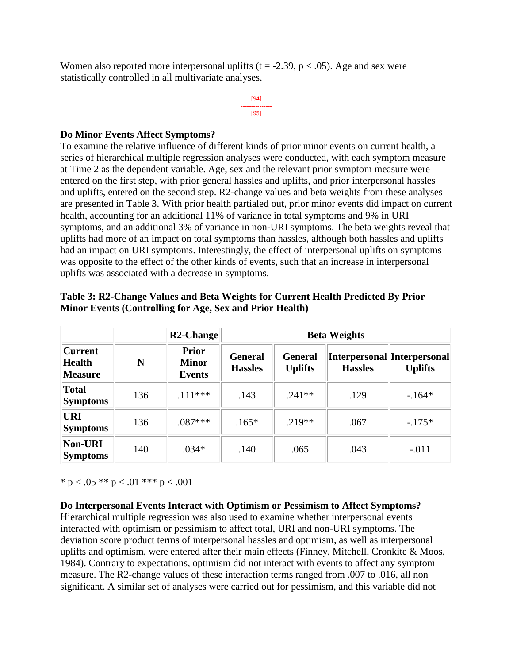Women also reported more interpersonal uplifts ( $t = -2.39$ ,  $p < .05$ ). Age and sex were statistically controlled in all multivariate analyses.

> [94] --------------- [95]

#### **Do Minor Events Affect Symptoms?**

To examine the relative influence of different kinds of prior minor events on current health, a series of hierarchical multiple regression analyses were conducted, with each symptom measure at Time 2 as the dependent variable. Age, sex and the relevant prior symptom measure were entered on the first step, with prior general hassles and uplifts, and prior interpersonal hassles and uplifts, entered on the second step. R2-change values and beta weights from these analyses are presented in Table 3. With prior health partialed out, prior minor events did impact on current health, accounting for an additional 11% of variance in total symptoms and 9% in URI symptoms, and an additional 3% of variance in non-URI symptoms. The beta weights reveal that uplifts had more of an impact on total symptoms than hassles, although both hassles and uplifts had an impact on URI symptoms. Interestingly, the effect of interpersonal uplifts on symptoms was opposite to the effect of the other kinds of events, such that an increase in interpersonal uplifts was associated with a decrease in symptoms.

|                                                   |     | R2-Change                                     | <b>Beta Weights</b>              |                                  |                |                                               |
|---------------------------------------------------|-----|-----------------------------------------------|----------------------------------|----------------------------------|----------------|-----------------------------------------------|
| <b>Current</b><br><b>Health</b><br><b>Measure</b> | N   | <b>Prior</b><br><b>Minor</b><br><b>Events</b> | <b>General</b><br><b>Hassles</b> | <b>General</b><br><b>Uplifts</b> | <b>Hassles</b> | Interpersonal Interpersonal<br><b>Uplifts</b> |
| <b>Total</b><br><b>Symptoms</b>                   | 136 | $.111***$                                     | .143                             | $.241**$                         | .129           | $-164*$                                       |
| URI<br><b>Symptoms</b>                            | 136 | $.087***$                                     | $.165*$                          | $.219**$                         | .067           | $-.175*$                                      |
| Non-URI<br><b>Symptoms</b>                        | 140 | $.034*$                                       | .140                             | .065                             | .043           | $-.011$                                       |

#### **Table 3: R2-Change Values and Beta Weights for Current Health Predicted By Prior Minor Events (Controlling for Age, Sex and Prior Health)**

\* p < .05 \*\* p < .01 \*\*\* p < .001

#### **Do Interpersonal Events Interact with Optimism or Pessimism to Affect Symptoms?**

Hierarchical multiple regression was also used to examine whether interpersonal events interacted with optimism or pessimism to affect total, URI and non-URI symptoms. The deviation score product terms of interpersonal hassles and optimism, as well as interpersonal uplifts and optimism, were entered after their main effects (Finney, Mitchell, Cronkite & Moos, 1984). Contrary to expectations, optimism did not interact with events to affect any symptom measure. The R2-change values of these interaction terms ranged from .007 to .016, all non significant. A similar set of analyses were carried out for pessimism, and this variable did not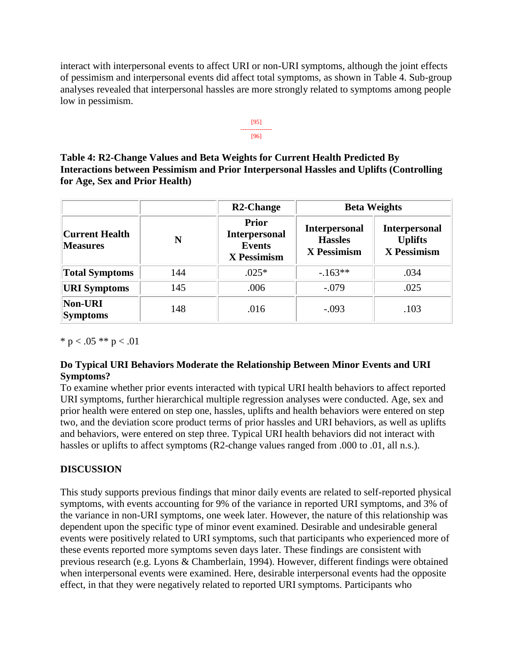interact with interpersonal events to affect URI or non-URI symptoms, although the joint effects of pessimism and interpersonal events did affect total symptoms, as shown in Table 4. Sub-group analyses revealed that interpersonal hassles are more strongly related to symptoms among people low in pessimism.



**Table 4: R2-Change Values and Beta Weights for Current Health Predicted By Interactions between Pessimism and Prior Interpersonal Hassles and Uplifts (Controlling for Age, Sex and Prior Health)** 

|                                          |     | <b>R2-Change</b>                                                     | <b>Beta Weights</b>                                   |                                                              |  |
|------------------------------------------|-----|----------------------------------------------------------------------|-------------------------------------------------------|--------------------------------------------------------------|--|
| <b>Current Health</b><br><b>Measures</b> | N   | <b>Prior</b><br><b>Interpersonal</b><br><b>Events</b><br>X Pessimism | <b>Interpersonal</b><br><b>Hassles</b><br>X Pessimism | <b>Interpersonal</b><br><b>Uplifts</b><br><b>X</b> Pessimism |  |
| <b>Total Symptoms</b>                    | 144 | $.025*$                                                              | $-163**$                                              | .034                                                         |  |
| <b>URI</b> Symptoms                      | 145 | .006                                                                 | $-.079$                                               | .025                                                         |  |
| <b>Non-URI</b><br><b>Symptoms</b>        | 148 | .016                                                                 | $-.093$                                               | .103                                                         |  |

\*  $p < .05$  \*\*  $p < .01$ 

# **Do Typical URI Behaviors Moderate the Relationship Between Minor Events and URI Symptoms?**

To examine whether prior events interacted with typical URI health behaviors to affect reported URI symptoms, further hierarchical multiple regression analyses were conducted. Age, sex and prior health were entered on step one, hassles, uplifts and health behaviors were entered on step two, and the deviation score product terms of prior hassles and URI behaviors, as well as uplifts and behaviors, were entered on step three. Typical URI health behaviors did not interact with hassles or uplifts to affect symptoms (R2-change values ranged from .000 to .01, all n.s.).

# **DISCUSSION**

This study supports previous findings that minor daily events are related to self-reported physical symptoms, with events accounting for 9% of the variance in reported URI symptoms, and 3% of the variance in non-URI symptoms, one week later. However, the nature of this relationship was dependent upon the specific type of minor event examined. Desirable and undesirable general events were positively related to URI symptoms, such that participants who experienced more of these events reported more symptoms seven days later. These findings are consistent with previous research (e.g. Lyons & Chamberlain, 1994). However, different findings were obtained when interpersonal events were examined. Here, desirable interpersonal events had the opposite effect, in that they were negatively related to reported URI symptoms. Participants who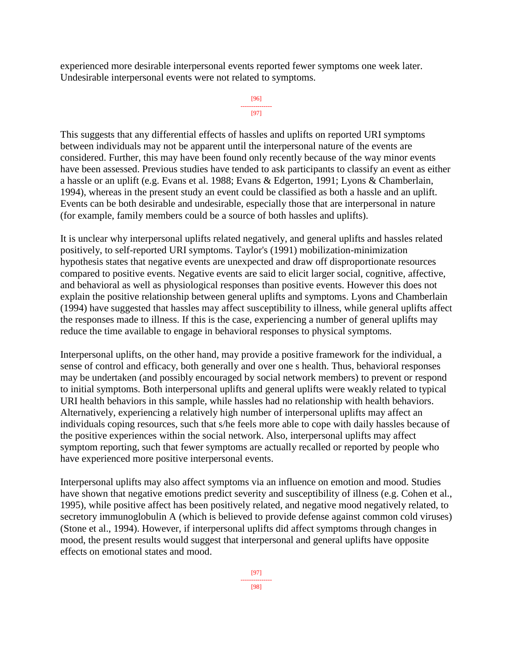experienced more desirable interpersonal events reported fewer symptoms one week later. Undesirable interpersonal events were not related to symptoms.

```
[96]
---------------
     [97]
```
This suggests that any differential effects of hassles and uplifts on reported URI symptoms between individuals may not be apparent until the interpersonal nature of the events are considered. Further, this may have been found only recently because of the way minor events have been assessed. Previous studies have tended to ask participants to classify an event as either a hassle or an uplift (e.g. Evans et al. 1988; Evans & Edgerton, 1991; Lyons & Chamberlain, 1994), whereas in the present study an event could be classified as both a hassle and an uplift. Events can be both desirable and undesirable, especially those that are interpersonal in nature (for example, family members could be a source of both hassles and uplifts).

It is unclear why interpersonal uplifts related negatively, and general uplifts and hassles related positively, to self-reported URI symptoms. Taylor's (1991) mobilization-minimization hypothesis states that negative events are unexpected and draw off disproportionate resources compared to positive events. Negative events are said to elicit larger social, cognitive, affective, and behavioral as well as physiological responses than positive events. However this does not explain the positive relationship between general uplifts and symptoms. Lyons and Chamberlain (1994) have suggested that hassles may affect susceptibility to illness, while general uplifts affect the responses made to illness. If this is the case, experiencing a number of general uplifts may reduce the time available to engage in behavioral responses to physical symptoms.

Interpersonal uplifts, on the other hand, may provide a positive framework for the individual, a sense of control and efficacy, both generally and over one s health. Thus, behavioral responses may be undertaken (and possibly encouraged by social network members) to prevent or respond to initial symptoms. Both interpersonal uplifts and general uplifts were weakly related to typical URI health behaviors in this sample, while hassles had no relationship with health behaviors. Alternatively, experiencing a relatively high number of interpersonal uplifts may affect an individuals coping resources, such that s/he feels more able to cope with daily hassles because of the positive experiences within the social network. Also, interpersonal uplifts may affect symptom reporting, such that fewer symptoms are actually recalled or reported by people who have experienced more positive interpersonal events.

Interpersonal uplifts may also affect symptoms via an influence on emotion and mood. Studies have shown that negative emotions predict severity and susceptibility of illness (e.g. Cohen et al., 1995), while positive affect has been positively related, and negative mood negatively related, to secretory immunoglobulin A (which is believed to provide defense against common cold viruses) (Stone et al., 1994). However, if interpersonal uplifts did affect symptoms through changes in mood, the present results would suggest that interpersonal and general uplifts have opposite effects on emotional states and mood.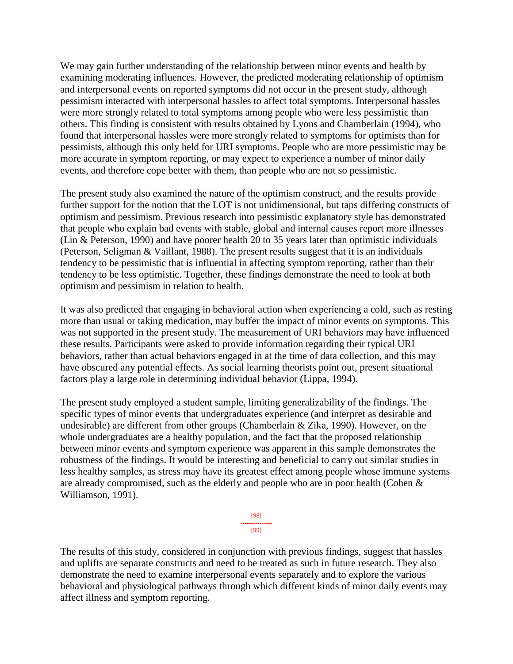We may gain further understanding of the relationship between minor events and health by examining moderating influences. However, the predicted moderating relationship of optimism and interpersonal events on reported symptoms did not occur in the present study, although pessimism interacted with interpersonal hassles to affect total symptoms. Interpersonal hassles were more strongly related to total symptoms among people who were less pessimistic than others. This finding is consistent with results obtained by Lyons and Chamberlain (1994), who found that interpersonal hassles were more strongly related to symptoms for optimists than for pessimists, although this only held for URI symptoms. People who are more pessimistic may be more accurate in symptom reporting, or may expect to experience a number of minor daily events, and therefore cope better with them, than people who are not so pessimistic.

The present study also examined the nature of the optimism construct, and the results provide further support for the notion that the LOT is not unidimensional, but taps differing constructs of optimism and pessimism. Previous research into pessimistic explanatory style has demonstrated that people who explain bad events with stable, global and internal causes report more illnesses (Lin & Peterson, 1990) and have poorer health 20 to 35 years later than optimistic individuals (Peterson, Seligman & Vaillant, 1988). The present results suggest that it is an individuals tendency to be pessimistic that is influential in affecting symptom reporting, rather than their tendency to be less optimistic. Together, these findings demonstrate the need to look at both optimism and pessimism in relation to health.

It was also predicted that engaging in behavioral action when experiencing a cold, such as resting more than usual or taking medication, may buffer the impact of minor events on symptoms. This was not supported in the present study. The measurement of URI behaviors may have influenced these results. Participants were asked to provide information regarding their typical URI behaviors, rather than actual behaviors engaged in at the time of data collection, and this may have obscured any potential effects. As social learning theorists point out, present situational factors play a large role in determining individual behavior (Lippa, 1994).

The present study employed a student sample, limiting generalizability of the findings. The specific types of minor events that undergraduates experience (and interpret as desirable and undesirable) are different from other groups (Chamberlain & Zika, 1990). However, on the whole undergraduates are a healthy population, and the fact that the proposed relationship between minor events and symptom experience was apparent in this sample demonstrates the robustness of the findings. It would be interesting and beneficial to carry out similar studies in less healthy samples, as stress may have its greatest effect among people whose immune systems are already compromised, such as the elderly and people who are in poor health (Cohen & Williamson, 1991).



The results of this study, considered in conjunction with previous findings, suggest that hassles and uplifts are separate constructs and need to be treated as such in future research. They also demonstrate the need to examine interpersonal events separately and to explore the various behavioral and physiological pathways through which different kinds of minor daily events may affect illness and symptom reporting.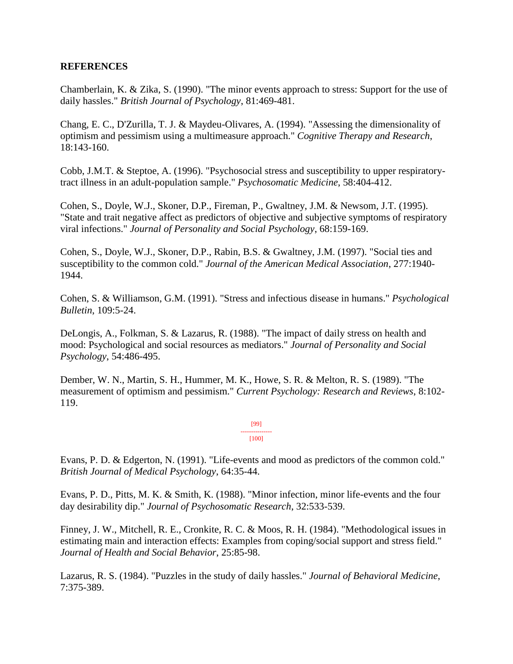#### **REFERENCES**

Chamberlain, K. & Zika, S. (1990). "The minor events approach to stress: Support for the use of daily hassles." *British Journal of Psychology*, 81:469-481.

Chang, E. C., D'Zurilla, T. J. & Maydeu-Olivares, A. (1994). "Assessing the dimensionality of optimism and pessimism using a multimeasure approach." *Cognitive Therapy and Research*, 18:143-160.

Cobb, J.M.T. & Steptoe, A. (1996). "Psychosocial stress and susceptibility to upper respiratorytract illness in an adult-population sample." *Psychosomatic Medicine*, 58:404-412.

Cohen, S., Doyle, W.J., Skoner, D.P., Fireman, P., Gwaltney, J.M. & Newsom, J.T. (1995). "State and trait negative affect as predictors of objective and subjective symptoms of respiratory viral infections." *Journal of Personality and Social Psychology*, 68:159-169.

Cohen, S., Doyle, W.J., Skoner, D.P., Rabin, B.S. & Gwaltney, J.M. (1997). "Social ties and susceptibility to the common cold." *Journal of the American Medical Association*, 277:1940- 1944.

Cohen, S. & Williamson, G.M. (1991). "Stress and infectious disease in humans." *Psychological Bulletin*, 109:5-24.

DeLongis, A., Folkman, S. & Lazarus, R. (1988). "The impact of daily stress on health and mood: Psychological and social resources as mediators." *Journal of Personality and Social Psychology*, 54:486-495.

Dember, W. N., Martin, S. H., Hummer, M. K., Howe, S. R. & Melton, R. S. (1989). "The measurement of optimism and pessimism." *Current Psychology: Research and Reviews*, 8:102- 119.

> [99] --------------- [100]

Evans, P. D. & Edgerton, N. (1991). "Life-events and mood as predictors of the common cold." *British Journal of Medical Psychology*, 64:35-44.

Evans, P. D., Pitts, M. K. & Smith, K. (1988). "Minor infection, minor life-events and the four day desirability dip." *Journal of Psychosomatic Research*, 32:533-539.

Finney, J. W., Mitchell, R. E., Cronkite, R. C. & Moos, R. H. (1984). "Methodological issues in estimating main and interaction effects: Examples from coping/social support and stress field." *Journal of Health and Social Behavior*, 25:85-98.

Lazarus, R. S. (1984). "Puzzles in the study of daily hassles." *Journal of Behavioral Medicine*, 7:375-389.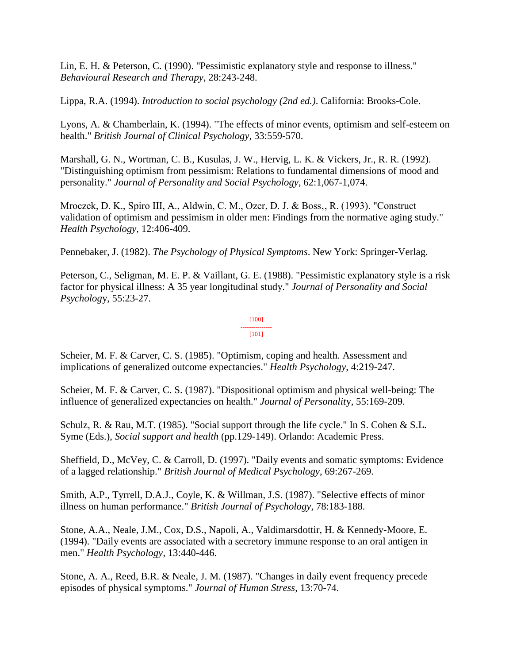Lin, E. H. & Peterson, C. (1990). "Pessimistic explanatory style and response to illness." *Behavioural Research and Therapy*, 28:243-248.

Lippa, R.A. (1994). *Introduction to social psychology (2nd ed.)*. California: Brooks-Cole.

Lyons, A. & Chamberlain, K. (1994). "The effects of minor events, optimism and self-esteem on health." *British Journal of Clinical Psychology*, 33:559-570.

Marshall, G. N., Wortman, C. B., Kusulas, J. W., Hervig, L. K. & Vickers, Jr., R. R. (1992). "Distinguishing optimism from pessimism: Relations to fundamental dimensions of mood and personality." *Journal of Personality and Social Psychology*, 62:1,067-1,074.

Mroczek, D. K., Spiro III, A., Aldwin, C. M., Ozer, D. J. & Boss., R. (1993). "Construct validation of optimism and pessimism in older men: Findings from the normative aging study." *Health Psychology*, 12:406-409.

Pennebaker, J. (1982). *The Psychology of Physical Symptoms*. New York: Springer-Verlag.

Peterson, C., Seligman, M. E. P. & Vaillant, G. E. (1988). "Pessimistic explanatory style is a risk factor for physical illness: A 35 year longitudinal study." *Journal of Personality and Social Psycholog*y, 55:23-27.

#### [100] ---------------

#### [101]

Scheier, M. F. & Carver, C. S. (1985). "Optimism, coping and health. Assessment and implications of generalized outcome expectancies." *Health Psychology*, 4:219-247.

Scheier, M. F. & Carver, C. S. (1987). "Dispositional optimism and physical well-being: The influence of generalized expectancies on health." *Journal of Personalit*y, 55:169-209.

Schulz, R. & Rau, M.T. (1985). "Social support through the life cycle." In S. Cohen & S.L. Syme (Eds.), *Social support and health* (pp.129-149). Orlando: Academic Press.

Sheffield, D., McVey, C. & Carroll, D. (1997). "Daily events and somatic symptoms: Evidence of a lagged relationship." *British Journal of Medical Psychology*, 69:267-269.

Smith, A.P., Tyrrell, D.A.J., Coyle, K. & Willman, J.S. (1987). "Selective effects of minor illness on human performance." *British Journal of Psychology*, 78:183-188.

Stone, A.A., Neale, J.M., Cox, D.S., Napoli, A., Valdimarsdottir, H. & Kennedy-Moore, E. (1994). "Daily events are associated with a secretory immune response to an oral antigen in men." *Health Psychology*, 13:440-446.

Stone, A. A., Reed, B.R. & Neale, J. M. (1987). "Changes in daily event frequency precede episodes of physical symptoms." *Journal of Human Stress*, 13:70-74.